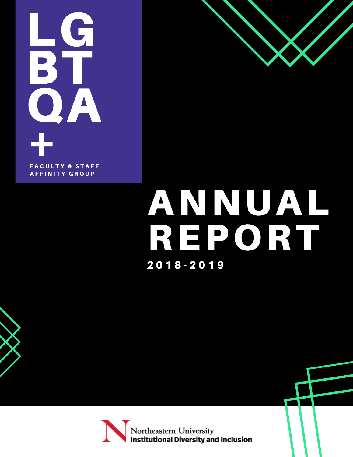LG **BT** QA  $\frac{1}{4}$ **FACULTY & STAFF AFFINITY GROUP** 



## ANNUAL REPORT 2 0 1 8 - 2 0 1 9



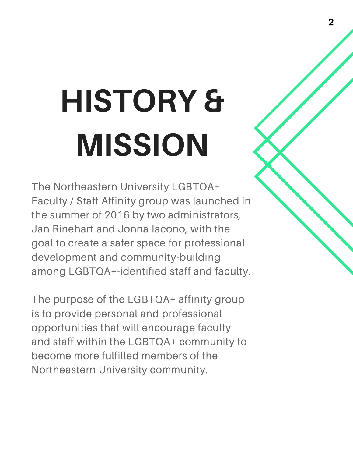# HISTORY & MISSION

The Northeastern University LGBTQA+ Faculty / Staff Affinity group was launched in the summer of 2016 by two administrators, Jan Rinehart and Jonna Iacono, with the goal to create a safer space for professional development and community-building among LGBTQA+-identified staff and faculty.

The purpose of the LGBTQA+ affinity group is to provide personal and professional opportunities that will encourage faculty and staff within the LGBTQA+ community to become more fulfilled members of the Northeastern University community.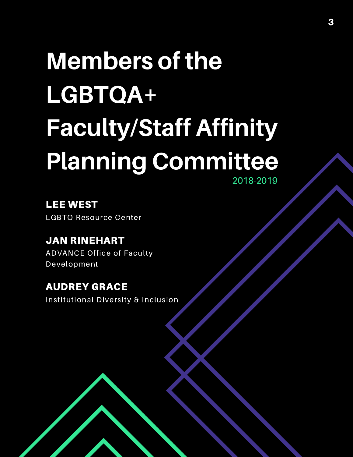### Members of the LGBTQA+ Faculty/Staff Affinity Planning Committee 2018-2019

LEE WEST LGBTQ Resource Center

JAN RINEHART ADVANCE Office of Faculty Development

AUDREY GRACE Institutional Diversity & Inclusion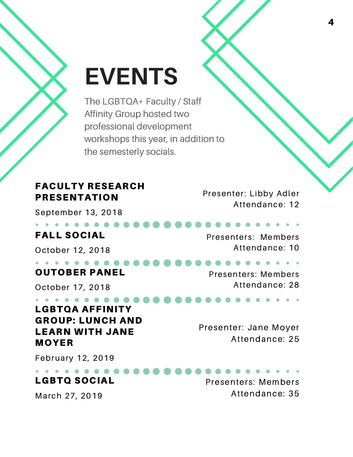### EVENTS

The LGBTQA+ Faculty / Staff Affinity Group hosted two professional development workshops this year, in addition to the semesterly socials.

#### FACULTY RESEARCH PRESENTATION

September 13, 2018

#### . . . **. . . .** FALL SOCIAL

October 12, 2018

#### . . . **. . . . .** OUTOBER PANEL

October 17, 2018

#### . . . . **. . . .** LGBTQA AFFINITY GROUP: LUNCH AND LEARN WITH JANE MOYER

Presenter: Libby Adler Attendance: 12

Presenters: Members Attendance: 10

Presenters: Members Attendance: 28

Presenter: Jane Moyer Attendance: 25

February 12, 2019

#### LGBTQ SOCIAL

March 27, 2019

Presenters: Members Attendance: 35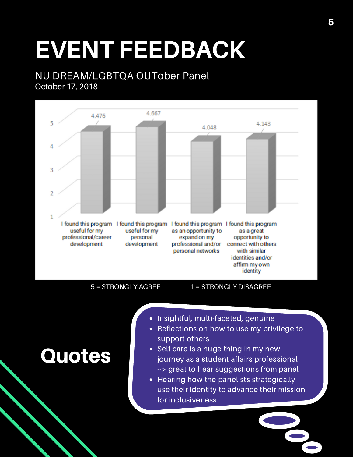### EVENT FEEDBACK

#### NU DREAM/LGBTQA OUTober Panel October 17, 2018



**Quotes** 

5 = STRONGLY AGREE 1 = STRONGLY DISAGREE

- Insightful, multi-faceted, genuine
	- Reflections on how to use my privilege to support others
- Self care is a huge thing in my new journey as a student affairs professional --> great to hear suggestions from panel
- Hearing how the panelists strategically use their identity to advance their mission for inclusiveness

5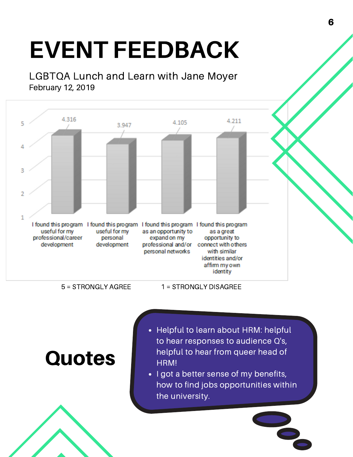### EVENT FEEDBACK

LGBTQA Lunch and Learn with Jane Moyer February 12, 2019



5 = STRONGLY AGREE 1 = STRONGLY DISAGREE

### **Quotes**

- Helpful to learn about HRM: helpful to hear responses to audience Q's, helpful to hear from queer head of HRM!
- I got a better sense of my benefits, how to find jobs opportunities within the university.